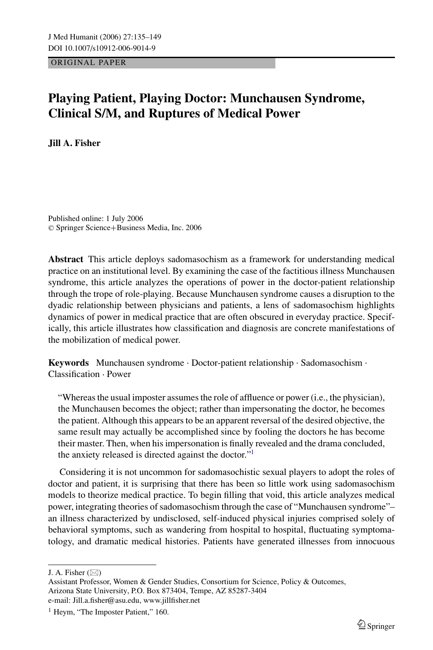ORIGINAL PAPER

# **Playing Patient, Playing Doctor: Munchausen Syndrome, Clinical S/M, and Ruptures of Medical Power**

**Jill A. Fisher**

Published online: 1 July 2006 <sup>C</sup> Springer Science+Business Media, Inc. 2006

**Abstract** This article deploys sadomasochism as a framework for understanding medical practice on an institutional level. By examining the case of the factitious illness Munchausen syndrome, this article analyzes the operations of power in the doctor-patient relationship through the trope of role-playing. Because Munchausen syndrome causes a disruption to the dyadic relationship between physicians and patients, a lens of sadomasochism highlights dynamics of power in medical practice that are often obscured in everyday practice. Specifically, this article illustrates how classification and diagnosis are concrete manifestations of the mobilization of medical power.

Keywords Munchausen syndrome · Doctor-patient relationship · Sadomasochism · Classification . Power

"Whereas the usual imposter assumes the role of affluence or power (i.e., the physician), the Munchausen becomes the object; rather than impersonating the doctor, he becomes the patient. Although this appears to be an apparent reversal of the desired objective, the same result may actually be accomplished since by fooling the doctors he has become their master. Then, when his impersonation is finally revealed and the drama concluded, the anxiety released is directed against the doctor."<sup>1</sup>

Considering it is not uncommon for sadomasochistic sexual players to adopt the roles of doctor and patient, it is surprising that there has been so little work using sadomasochism models to theorize medical practice. To begin filling that void, this article analyzes medical power, integrating theories of sadomasochism through the case of "Munchausen syndrome"– an illness characterized by undisclosed, self-induced physical injuries comprised solely of behavioral symptoms, such as wandering from hospital to hospital, fluctuating symptomatology, and dramatic medical histories. Patients have generated illnesses from innocuous

J. A. Fisher  $(\boxtimes)$ 

Assistant Professor, Women & Gender Studies, Consortium for Science, Policy & Outcomes, Arizona State University, P.O. Box 873404, Tempe, AZ 85287-3404 e-mail: Jill.a.fisher@asu.edu, www.jillfisher.net

<span id="page-0-0"></span> $<sup>1</sup>$  Heym, "The Imposter Patient," 160.</sup>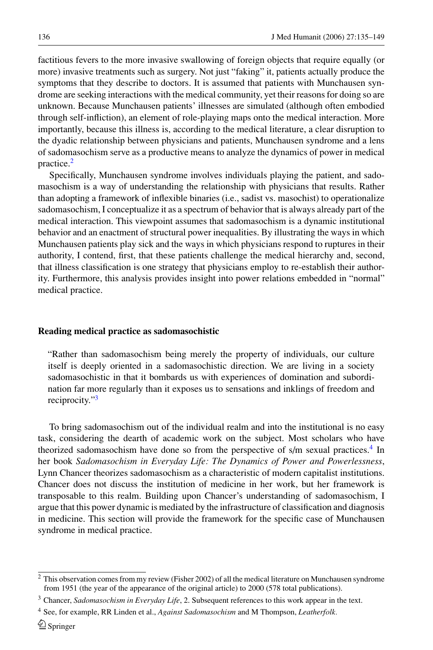factitious fevers to the more invasive swallowing of foreign objects that require equally (or more) invasive treatments such as surgery. Not just "faking" it, patients actually produce the symptoms that they describe to doctors. It is assumed that patients with Munchausen syndrome are seeking interactions with the medical community, yet their reasons for doing so are unknown. Because Munchausen patients' illnesses are simulated (although often embodied through self-infliction), an element of role-playing maps onto the medical interaction. More importantly, because this illness is, according to the medical literature, a clear disruption to the dyadic relationship between physicians and patients, Munchausen syndrome and a lens of sadomasochism serve as a productive means to analyze the dynamics of power in medical practice[.2](#page-1-0)

Specifically, Munchausen syndrome involves individuals playing the patient, and sadomasochism is a way of understanding the relationship with physicians that results. Rather than adopting a framework of inflexible binaries (i.e., sadist vs. masochist) to operationalize sadomasochism, I conceptualize it as a spectrum of behavior that is always already part of the medical interaction. This viewpoint assumes that sadomasochism is a dynamic institutional behavior and an enactment of structural power inequalities. By illustrating the ways in which Munchausen patients play sick and the ways in which physicians respond to ruptures in their authority, I contend, first, that these patients challenge the medical hierarchy and, second, that illness classification is one strategy that physicians employ to re-establish their authority. Furthermore, this analysis provides insight into power relations embedded in "normal" medical practice.

## **Reading medical practice as sadomasochistic**

"Rather than sadomasochism being merely the property of individuals, our culture itself is deeply oriented in a sadomasochistic direction. We are living in a society sadomasochistic in that it bombards us with experiences of domination and subordination far more regularly than it exposes us to sensations and inklings of freedom and reciprocity."[3](#page-1-1)

To bring sadomasochism out of the individual realm and into the institutional is no easy task, considering the dearth of academic work on the subject. Most scholars who have theorized sadomasochism have done so from the perspective of s/m sexual practices.[4](#page-1-2) In her book *Sadomasochism in Everyday Life: The Dynamics of Power and Powerlessness*, Lynn Chancer theorizes sadomasochism as a characteristic of modern capitalist institutions. Chancer does not discuss the institution of medicine in her work, but her framework is transposable to this realm. Building upon Chancer's understanding of sadomasochism, I argue that this power dynamic is mediated by the infrastructure of classification and diagnosis in medicine. This section will provide the framework for the specific case of Munchausen syndrome in medical practice.

<span id="page-1-0"></span> $2$  This observation comes from my review (Fisher 2002) of all the medical literature on Munchausen syndrome from 1951 (the year of the appearance of the original article) to 2000 (578 total publications).

<sup>3</sup> Chancer, *Sadomasochism in Everyday Life*, 2. Subsequent references to this work appear in the text.

<span id="page-1-2"></span><span id="page-1-1"></span><sup>4</sup> See, for example, RR Linden et al., *Against Sadomasochism* and M Thompson, *Leatherfolk.*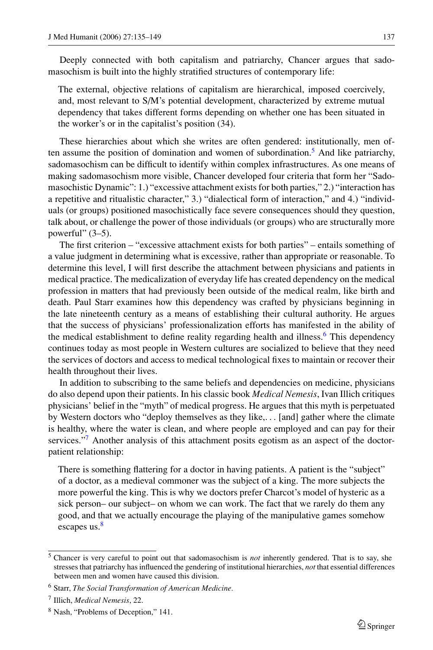Deeply connected with both capitalism and patriarchy, Chancer argues that sadomasochism is built into the highly stratified structures of contemporary life:

The external, objective relations of capitalism are hierarchical, imposed coercively, and, most relevant to S/M's potential development, characterized by extreme mutual dependency that takes different forms depending on whether one has been situated in the worker's or in the capitalist's position (34).

These hierarchies about which she writes are often gendered: institutionally, men often assume the position of domination and women of subordination.<sup>5</sup> And like patriarchy, sadomasochism can be difficult to identify within complex infrastructures. As one means of making sadomasochism more visible, Chancer developed four criteria that form her "Sadomasochistic Dynamic": 1.) "excessive attachment exists for both parties," 2.) "interaction has a repetitive and ritualistic character," 3.) "dialectical form of interaction," and 4.) "individuals (or groups) positioned masochistically face severe consequences should they question, talk about, or challenge the power of those individuals (or groups) who are structurally more powerful" (3–5).

The first criterion – "excessive attachment exists for both parties" – entails something of a value judgment in determining what is excessive, rather than appropriate or reasonable. To determine this level, I will first describe the attachment between physicians and patients in medical practice. The medicalization of everyday life has created dependency on the medical profession in matters that had previously been outside of the medical realm, like birth and death. Paul Starr examines how this dependency was crafted by physicians beginning in the late nineteenth century as a means of establishing their cultural authority. He argues that the success of physicians' professionalization efforts has manifested in the ability of the medical establishment to define reality regarding health and illness.<sup>6</sup> This dependency continues today as most people in Western cultures are socialized to believe that they need the services of doctors and access to medical technological fixes to maintain or recover their health throughout their lives.

In addition to subscribing to the same beliefs and dependencies on medicine, physicians do also depend upon their patients. In his classic book *Medical Nemesis*, Ivan Illich critiques physicians' belief in the "myth" of medical progress. He argues that this myth is perpetuated by Western doctors who "deploy themselves as they like,... [and] gather where the climate is healthy, where the water is clean, and where people are employed and can pay for their services."<sup>[7](#page-2-2)</sup> Another analysis of this attachment posits egotism as an aspect of the doctorpatient relationship:

There is something flattering for a doctor in having patients. A patient is the "subject" of a doctor, as a medieval commoner was the subject of a king. The more subjects the more powerful the king. This is why we doctors prefer Charcot's model of hysteric as a sick person– our subject– on whom we can work. The fact that we rarely do them any good, and that we actually encourage the playing of the manipulative games somehow escapes us.<sup>8</sup>

<span id="page-2-0"></span><sup>5</sup> Chancer is very careful to point out that sadomasochism is *not* inherently gendered. That is to say, she stresses that patriarchy has influenced the gendering of institutional hierarchies, *not* that essential differences between men and women have caused this division.

<sup>6</sup> Starr, *The Social Transformation of American Medicine.*

<span id="page-2-1"></span><sup>7</sup> Illich, *Medical Nemesis*, 22.

<span id="page-2-3"></span><span id="page-2-2"></span><sup>8</sup> Nash, "Problems of Deception," 141.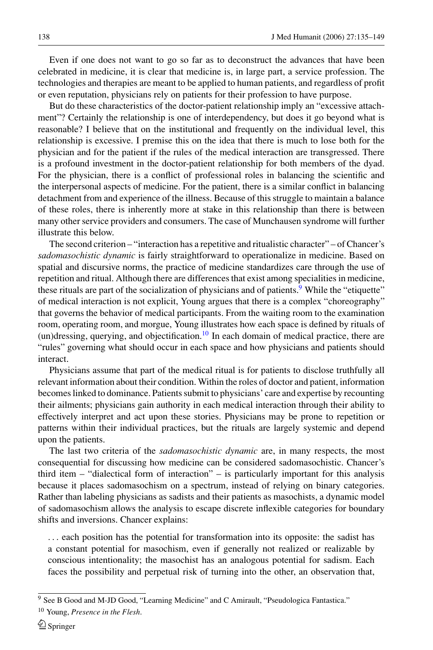Even if one does not want to go so far as to deconstruct the advances that have been celebrated in medicine, it is clear that medicine is, in large part, a service profession. The technologies and therapies are meant to be applied to human patients, and regardless of profit or even reputation, physicians rely on patients for their profession to have purpose.

But do these characteristics of the doctor-patient relationship imply an "excessive attachment"? Certainly the relationship is one of interdependency, but does it go beyond what is reasonable? I believe that on the institutional and frequently on the individual level, this relationship is excessive. I premise this on the idea that there is much to lose both for the physician and for the patient if the rules of the medical interaction are transgressed. There is a profound investment in the doctor-patient relationship for both members of the dyad. For the physician, there is a conflict of professional roles in balancing the scientific and the interpersonal aspects of medicine. For the patient, there is a similar conflict in balancing detachment from and experience of the illness. Because of this struggle to maintain a balance of these roles, there is inherently more at stake in this relationship than there is between many other service providers and consumers. The case of Munchausen syndrome will further illustrate this below.

The second criterion – "interaction has a repetitive and ritualistic character" – of Chancer's *sadomasochistic dynamic* is fairly straightforward to operationalize in medicine. Based on spatial and discursive norms, the practice of medicine standardizes care through the use of repetition and ritual. Although there are differences that exist among specialities in medicine, these rituals are part of the socialization of physicians and of patients.<sup>9</sup> While the "etiquette" of medical interaction is not explicit, Young argues that there is a complex "choreography" that governs the behavior of medical participants. From the waiting room to the examination room, operating room, and morgue, Young illustrates how each space is defined by rituals of (un)dressing, querying, and objectification.<sup>[10](#page-3-1)</sup> In each domain of medical practice, there are "rules" governing what should occur in each space and how physicians and patients should interact.

Physicians assume that part of the medical ritual is for patients to disclose truthfully all relevant information about their condition. Within the roles of doctor and patient, information becomes linked to dominance. Patients submit to physicians' care and expertise by recounting their ailments; physicians gain authority in each medical interaction through their ability to effectively interpret and act upon these stories. Physicians may be prone to repetition or patterns within their individual practices, but the rituals are largely systemic and depend upon the patients.

The last two criteria of the *sadomasochistic dynamic* are, in many respects, the most consequential for discussing how medicine can be considered sadomasochistic. Chancer's third item – "dialectical form of interaction" – is particularly important for this analysis because it places sadomasochism on a spectrum, instead of relying on binary categories. Rather than labeling physicians as sadists and their patients as masochists, a dynamic model of sadomasochism allows the analysis to escape discrete inflexible categories for boundary shifts and inversions. Chancer explains:

... each position has the potential for transformation into its opposite: the sadist has a constant potential for masochism, even if generally not realized or realizable by conscious intentionality; the masochist has an analogous potential for sadism. Each faces the possibility and perpetual risk of turning into the other, an observation that,

<span id="page-3-0"></span><sup>&</sup>lt;sup>9</sup> See B Good and M-JD Good, "Learning Medicine" and C Amirault, "Pseudologica Fantastica."

<span id="page-3-1"></span><sup>10</sup> Young, *Presence in the Flesh*.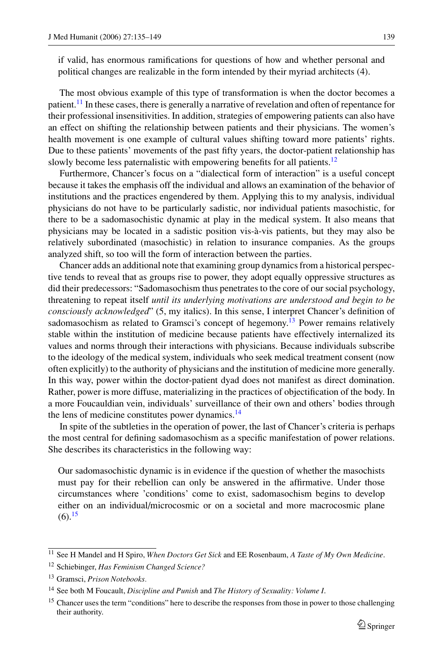if valid, has enormous ramifications for questions of how and whether personal and political changes are realizable in the form intended by their myriad architects (4).

The most obvious example of this type of transformation is when the doctor becomes a patient.<sup>11</sup> In these cases, there is generally a narrative of revelation and often of repentance for their professional insensitivities. In addition, strategies of empowering patients can also have an effect on shifting the relationship between patients and their physicians. The women's health movement is one example of cultural values shifting toward more patients' rights. Due to these patients' movements of the past fifty years, the doctor-patient relationship has slowly become less paternalistic with empowering benefits for all patients.<sup>[12](#page-4-1)</sup>

Furthermore, Chancer's focus on a "dialectical form of interaction" is a useful concept because it takes the emphasis off the individual and allows an examination of the behavior of institutions and the practices engendered by them. Applying this to my analysis, individual physicians do not have to be particularly sadistic, nor individual patients masochistic, for there to be a sadomasochistic dynamic at play in the medical system. It also means that physicians may be located in a sadistic position vis-a-vis patients, but they may also be ` relatively subordinated (masochistic) in relation to insurance companies. As the groups analyzed shift, so too will the form of interaction between the parties.

Chancer adds an additional note that examining group dynamics from a historical perspective tends to reveal that as groups rise to power, they adopt equally oppressive structures as did their predecessors: "Sadomasochism thus penetrates to the core of our social psychology, threatening to repeat itself *until its underlying motivations are understood and begin to be consciously acknowledged*" (5, my italics). In this sense, I interpret Chancer's definition of sadomasochism as related to Gramsci's concept of hegemony.<sup>[13](#page-4-2)</sup> Power remains relatively stable within the institution of medicine because patients have effectively internalized its values and norms through their interactions with physicians. Because individuals subscribe to the ideology of the medical system, individuals who seek medical treatment consent (now often explicitly) to the authority of physicians and the institution of medicine more generally. In this way, power within the doctor-patient dyad does not manifest as direct domination. Rather, power is more diffuse, materializing in the practices of objectification of the body. In a more Foucauldian vein, individuals' surveillance of their own and others' bodies through the lens of medicine constitutes power dynamics. $^{14}$ 

In spite of the subtleties in the operation of power, the last of Chancer's criteria is perhaps the most central for defining sadomasochism as a specific manifestation of power relations. She describes its characteristics in the following way:

Our sadomasochistic dynamic is in evidence if the question of whether the masochists must pay for their rebellion can only be answered in the affirmative. Under those circumstances where 'conditions' come to exist, sadomasochism begins to develop either on an individual/microcosmic or on a societal and more macrocosmic plane  $(6).^{15}$  $(6).^{15}$  $(6).^{15}$ 

<sup>11</sup> See H Mandel and H Spiro, *When Doctors Get Sick* and EE Rosenbaum, *A Taste of My Own Medicine*.

<span id="page-4-0"></span><sup>12</sup> Schiebinger, *Has Feminism Changed Science?*

<span id="page-4-1"></span><sup>13</sup> Gramsci, *Prison Notebooks.*

<span id="page-4-2"></span><sup>14</sup> See both M Foucault, *Discipline and Punish* and *The History of Sexuality: Volume I*.

<span id="page-4-4"></span><span id="page-4-3"></span><sup>&</sup>lt;sup>15</sup> Chancer uses the term "conditions" here to describe the responses from those in power to those challenging their authority.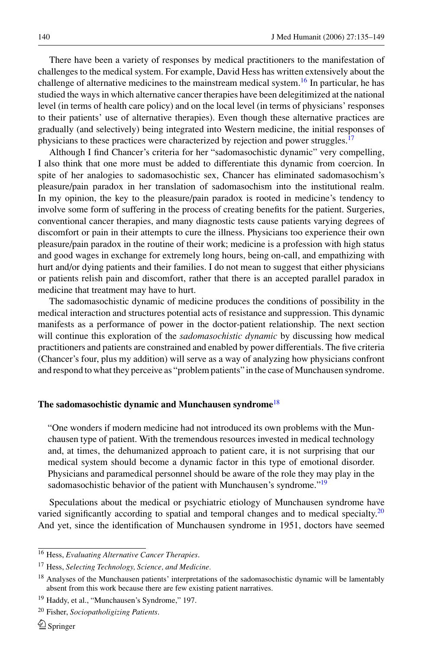There have been a variety of responses by medical practitioners to the manifestation of challenges to the medical system. For example, David Hess has written extensively about the challenge of alternative medicines to the mainstream medical system[.16](#page-5-0) In particular, he has studied the ways in which alternative cancer therapies have been delegitimized at the national level (in terms of health care policy) and on the local level (in terms of physicians' responses to their patients' use of alternative therapies). Even though these alternative practices are gradually (and selectively) being integrated into Western medicine, the initial responses of physicians to these practices were characterized by rejection and power struggles.<sup>17</sup>

Although I find Chancer's criteria for her "sadomasochistic dynamic" very compelling, I also think that one more must be added to differentiate this dynamic from coercion. In spite of her analogies to sadomasochistic sex, Chancer has eliminated sadomasochism's pleasure/pain paradox in her translation of sadomasochism into the institutional realm. In my opinion, the key to the pleasure/pain paradox is rooted in medicine's tendency to involve some form of suffering in the process of creating benefits for the patient. Surgeries, conventional cancer therapies, and many diagnostic tests cause patients varying degrees of discomfort or pain in their attempts to cure the illness. Physicians too experience their own pleasure/pain paradox in the routine of their work; medicine is a profession with high status and good wages in exchange for extremely long hours, being on-call, and empathizing with hurt and/or dying patients and their families. I do not mean to suggest that either physicians or patients relish pain and discomfort, rather that there is an accepted parallel paradox in medicine that treatment may have to hurt.

The sadomasochistic dynamic of medicine produces the conditions of possibility in the medical interaction and structures potential acts of resistance and suppression. This dynamic manifests as a performance of power in the doctor-patient relationship. The next section will continue this exploration of the *sadomasochistic dynamic* by discussing how medical practitioners and patients are constrained and enabled by power differentials. The five criteria (Chancer's four, plus my addition) will serve as a way of analyzing how physicians confront and respond to what they perceive as "problem patients" in the case of Munchausen syndrome.

# **The sadomasochistic dynamic and Munchausen syndrome**[18](#page-5-2)

"One wonders if modern medicine had not introduced its own problems with the Munchausen type of patient. With the tremendous resources invested in medical technology and, at times, the dehumanized approach to patient care, it is not surprising that our medical system should become a dynamic factor in this type of emotional disorder. Physicians and paramedical personnel should be aware of the role they may play in the sadomasochistic behavior of the patient with Munchausen's syndrome."<sup>[19](#page-5-3)</sup>

Speculations about the medical or psychiatric etiology of Munchausen syndrome have varied significantly according to spatial and temporal changes and to medical specialty. $20$ And yet, since the identification of Munchausen syndrome in 1951, doctors have seemed

<sup>16</sup> Hess, *Evaluating Alternative Cancer Therapies*.

<span id="page-5-0"></span><sup>17</sup> Hess, *Selecting Technology, Science, and Medicine.*

<span id="page-5-2"></span><span id="page-5-1"></span><sup>&</sup>lt;sup>18</sup> Analyses of the Munchausen patients' interpretations of the sadomasochistic dynamic will be lamentably absent from this work because there are few existing patient narratives.

<sup>19</sup> Haddy, et al., "Munchausen's Syndrome," 197.

<span id="page-5-4"></span><span id="page-5-3"></span><sup>20</sup> Fisher, *Sociopatholigizing Patients*.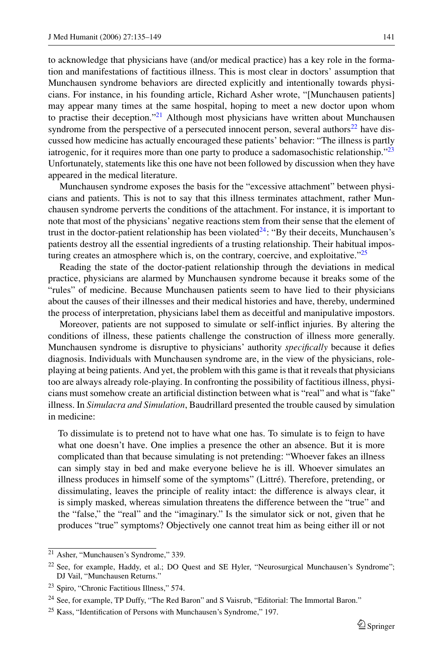to acknowledge that physicians have (and/or medical practice) has a key role in the formation and manifestations of factitious illness. This is most clear in doctors' assumption that Munchausen syndrome behaviors are directed explicitly and intentionally towards physicians. For instance, in his founding article, Richard Asher wrote, "[Munchausen patients] may appear many times at the same hospital, hoping to meet a new doctor upon whom to practise their deception."<sup>21</sup> Although most physicians have written about Munchausen syndrome from the perspective of a persecuted innocent person, several authors<sup>[22](#page-6-1)</sup> have discussed how medicine has actually encouraged these patients' behavior: "The illness is partly iatrogenic, for it requires more than one party to produce a sadomasochistic relationship.<sup> $23$ </sup> Unfortunately, statements like this one have not been followed by discussion when they have appeared in the medical literature.

Munchausen syndrome exposes the basis for the "excessive attachment" between physicians and patients. This is not to say that this illness terminates attachment, rather Munchausen syndrome perverts the conditions of the attachment. For instance, it is important to note that most of the physicians' negative reactions stem from their sense that the element of trust in the doctor-patient relationship has been violated $24$ : "By their deceits, Munchausen's patients destroy all the essential ingredients of a trusting relationship. Their habitual imposturing creates an atmosphere which is, on the contrary, coercive, and exploitative. $25$ 

Reading the state of the doctor-patient relationship through the deviations in medical practice, physicians are alarmed by Munchausen syndrome because it breaks some of the "rules" of medicine. Because Munchausen patients seem to have lied to their physicians about the causes of their illnesses and their medical histories and have, thereby, undermined the process of interpretation, physicians label them as deceitful and manipulative impostors.

Moreover, patients are not supposed to simulate or self-inflict injuries. By altering the conditions of illness, these patients challenge the construction of illness more generally. Munchausen syndrome is disruptive to physicians' authority *specifically* because it defies diagnosis. Individuals with Munchausen syndrome are, in the view of the physicians, roleplaying at being patients. And yet, the problem with this game is that it reveals that physicians too are always already role-playing. In confronting the possibility of factitious illness, physicians must somehow create an artificial distinction between what is "real" and what is "fake" illness. In *Simulacra and Simulation*, Baudrillard presented the trouble caused by simulation in medicine:

To dissimulate is to pretend not to have what one has. To simulate is to feign to have what one doesn't have. One implies a presence the other an absence. But it is more complicated than that because simulating is not pretending: "Whoever fakes an illness can simply stay in bed and make everyone believe he is ill. Whoever simulates an illness produces in himself some of the symptoms" (Littre). Therefore, pretending, or ´ dissimulating, leaves the principle of reality intact: the difference is always clear, it is simply masked, whereas simulation threatens the difference between the "true" and the "false," the "real" and the "imaginary." Is the simulator sick or not, given that he produces "true" symptoms? Objectively one cannot treat him as being either ill or not

<sup>21</sup> Asher, "Munchausen's Syndrome," 339.

<span id="page-6-1"></span><span id="page-6-0"></span><sup>&</sup>lt;sup>22</sup> See, for example, Haddy, et al.; DO Quest and SE Hyler, "Neurosurgical Munchausen's Syndrome"; DJ Vail, "Munchausen Returns."

<sup>23</sup> Spiro, "Chronic Factitious Illness," 574.

<span id="page-6-3"></span><span id="page-6-2"></span><sup>&</sup>lt;sup>24</sup> See, for example, TP Duffy, "The Red Baron" and S Vaisrub, "Editorial: The Immortal Baron."

<span id="page-6-4"></span><sup>&</sup>lt;sup>25</sup> Kass, "Identification of Persons with Munchausen's Syndrome," 197.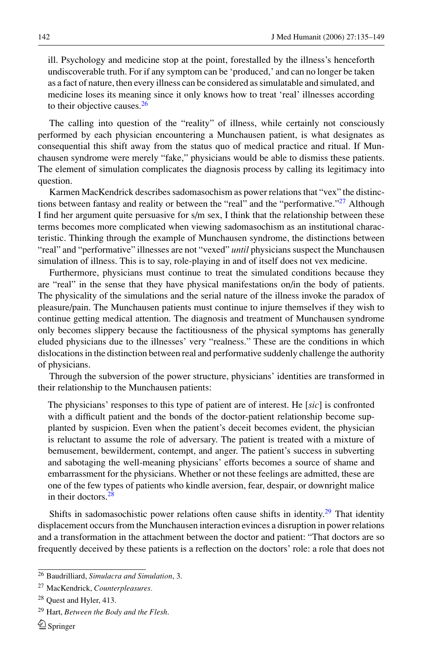ill. Psychology and medicine stop at the point, forestalled by the illness's henceforth undiscoverable truth. For if any symptom can be 'produced,' and can no longer be taken as a fact of nature, then every illness can be considered as simulatable and simulated, and medicine loses its meaning since it only knows how to treat 'real' illnesses according to their objective causes.<sup>26</sup>

The calling into question of the "reality" of illness, while certainly not consciously performed by each physician encountering a Munchausen patient, is what designates as consequential this shift away from the status quo of medical practice and ritual. If Munchausen syndrome were merely "fake," physicians would be able to dismiss these patients. The element of simulation complicates the diagnosis process by calling its legitimacy into question.

Karmen MacKendrick describes sadomasochism as power relations that "vex" the distinctions between fantasy and reality or between the "real" and the "performative."<sup>27</sup> Although I find her argument quite persuasive for s/m sex, I think that the relationship between these terms becomes more complicated when viewing sadomasochism as an institutional characteristic. Thinking through the example of Munchausen syndrome, the distinctions between "real" and "performative" illnesses are not "vexed" *until* physicians suspect the Munchausen simulation of illness. This is to say, role-playing in and of itself does not vex medicine.

Furthermore, physicians must continue to treat the simulated conditions because they are "real" in the sense that they have physical manifestations on/in the body of patients. The physicality of the simulations and the serial nature of the illness invoke the paradox of pleasure/pain. The Munchausen patients must continue to injure themselves if they wish to continue getting medical attention. The diagnosis and treatment of Munchausen syndrome only becomes slippery because the factitiousness of the physical symptoms has generally eluded physicians due to the illnesses' very "realness." These are the conditions in which dislocations in the distinction between real and performative suddenly challenge the authority of physicians.

Through the subversion of the power structure, physicians' identities are transformed in their relationship to the Munchausen patients:

The physicians' responses to this type of patient are of interest. He [*sic*] is confronted with a difficult patient and the bonds of the doctor-patient relationship become supplanted by suspicion. Even when the patient's deceit becomes evident, the physician is reluctant to assume the role of adversary. The patient is treated with a mixture of bemusement, bewilderment, contempt, and anger. The patient's success in subverting and sabotaging the well-meaning physicians' efforts becomes a source of shame and embarrassment for the physicians. Whether or not these feelings are admitted, these are one of the few types of patients who kindle aversion, fear, despair, or downright malice in their doctors.[28](#page-7-2)

Shifts in sadomasochistic power relations often cause shifts in identity.<sup>[29](#page-7-3)</sup> That identity displacement occurs from the Munchausen interaction evinces a disruption in power relations and a transformation in the attachment between the doctor and patient: "That doctors are so frequently deceived by these patients is a reflection on the doctors' role: a role that does not

<sup>26</sup> Baudrilliard, *Simulacra and Simulation*, 3.

<span id="page-7-0"></span><sup>27</sup> MacKendrick, *Counterpleasures.*

<span id="page-7-1"></span><sup>&</sup>lt;sup>28</sup> Ouest and Hyler, 413.

<span id="page-7-3"></span><span id="page-7-2"></span><sup>29</sup> Hart, *Between the Body and the Flesh*.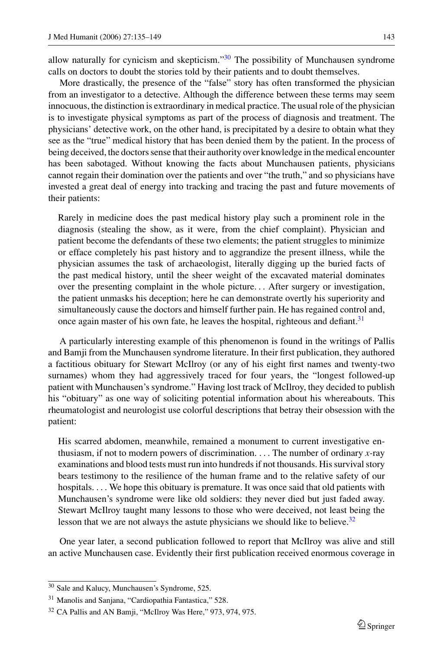allow naturally for cynicism and skepticism."[30](#page-8-0) The possibility of Munchausen syndrome calls on doctors to doubt the stories told by their patients and to doubt themselves.

More drastically, the presence of the "false" story has often transformed the physician from an investigator to a detective. Although the difference between these terms may seem innocuous, the distinction is extraordinary in medical practice. The usual role of the physician is to investigate physical symptoms as part of the process of diagnosis and treatment. The physicians' detective work, on the other hand, is precipitated by a desire to obtain what they see as the "true" medical history that has been denied them by the patient. In the process of being deceived, the doctors sense that their authority over knowledge in the medical encounter has been sabotaged. Without knowing the facts about Munchausen patients, physicians cannot regain their domination over the patients and over "the truth," and so physicians have invested a great deal of energy into tracking and tracing the past and future movements of their patients:

Rarely in medicine does the past medical history play such a prominent role in the diagnosis (stealing the show, as it were, from the chief complaint). Physician and patient become the defendants of these two elements; the patient struggles to minimize or efface completely his past history and to aggrandize the present illness, while the physician assumes the task of archaeologist, literally digging up the buried facts of the past medical history, until the sheer weight of the excavated material dominates over the presenting complaint in the whole picture... After surgery or investigation, the patient unmasks his deception; here he can demonstrate overtly his superiority and simultaneously cause the doctors and himself further pain. He has regained control and, once again master of his own fate, he leaves the hospital, righteous and defiant.<sup>31</sup>

A particularly interesting example of this phenomenon is found in the writings of Pallis and Bamji from the Munchausen syndrome literature. In their first publication, they authored a factitious obituary for Stewart McIlroy (or any of his eight first names and twenty-two surnames) whom they had aggressively traced for four years, the "longest followed-up patient with Munchausen's syndrome." Having lost track of McIlroy, they decided to publish his "obituary" as one way of soliciting potential information about his whereabouts. This rheumatologist and neurologist use colorful descriptions that betray their obsession with the patient:

His scarred abdomen, meanwhile, remained a monument to current investigative enthusiasm, if not to modern powers of discrimination. ... The number of ordinary *x-*ray examinations and blood tests must run into hundreds if not thousands. His survival story bears testimony to the resilience of the human frame and to the relative safety of our hospitals. ... We hope this obituary is premature. It was once said that old patients with Munchausen's syndrome were like old soldiers: they never died but just faded away. Stewart McIlroy taught many lessons to those who were deceived, not least being the lesson that we are not always the astute physicians we should like to believe. $32$ 

One year later, a second publication followed to report that McIlroy was alive and still an active Munchausen case. Evidently their first publication received enormous coverage in

<sup>30</sup> Sale and Kalucy, Munchausen's Syndrome, 525.

<span id="page-8-0"></span><sup>31</sup> Manolis and Sanjana, "Cardiopathia Fantastica," 528.

<span id="page-8-2"></span><span id="page-8-1"></span><sup>32</sup> CA Pallis and AN Bamji, "McIlroy Was Here," 973, 974, 975.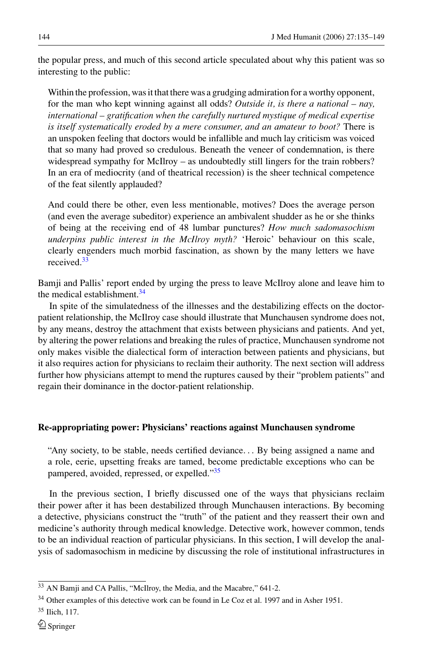the popular press, and much of this second article speculated about why this patient was so interesting to the public:

Within the profession, was it that there was a grudging admiration for a worthy opponent, for the man who kept winning against all odds? *Outside it, is there a national – nay, international – gratification when the carefully nurtured mystique of medical expertise is itself systematically eroded by a mere consumer, and an amateur to boot?* There is an unspoken feeling that doctors would be infallible and much lay criticism was voiced that so many had proved so credulous. Beneath the veneer of condemnation, is there widespread sympathy for McIlroy – as undoubtedly still lingers for the train robbers? In an era of mediocrity (and of theatrical recession) is the sheer technical competence of the feat silently applauded?

And could there be other, even less mentionable, motives? Does the average person (and even the average subeditor) experience an ambivalent shudder as he or she thinks of being at the receiving end of 48 lumbar punctures? *How much sadomasochism underpins public interest in the McIlroy myth?* 'Heroic' behaviour on this scale, clearly engenders much morbid fascination, as shown by the many letters we have received[.33](#page-9-0)

Bamji and Pallis' report ended by urging the press to leave McIlroy alone and leave him to the medical establishment.<sup>34</sup>

In spite of the simulatedness of the illnesses and the destabilizing effects on the doctorpatient relationship, the McIlroy case should illustrate that Munchausen syndrome does not, by any means, destroy the attachment that exists between physicians and patients. And yet, by altering the power relations and breaking the rules of practice, Munchausen syndrome not only makes visible the dialectical form of interaction between patients and physicians, but it also requires action for physicians to reclaim their authority. The next section will address further how physicians attempt to mend the ruptures caused by their "problem patients" and regain their dominance in the doctor-patient relationship.

## **Re-appropriating power: Physicians' reactions against Munchausen syndrome**

"Any society, to be stable, needs certified deviance... By being assigned a name and a role, eerie, upsetting freaks are tamed, become predictable exceptions who can be pampered, avoided, repressed, or expelled."<sup>35</sup>

In the previous section, I briefly discussed one of the ways that physicians reclaim their power after it has been destabilized through Munchausen interactions. By becoming a detective, physicians construct the "truth" of the patient and they reassert their own and medicine's authority through medical knowledge. Detective work, however common, tends to be an individual reaction of particular physicians. In this section, I will develop the analysis of sadomasochism in medicine by discussing the role of institutional infrastructures in

<sup>&</sup>lt;sup>33</sup> AN Bamji and CA Pallis, "McIlroy, the Media, and the Macabre," 641-2.

<span id="page-9-0"></span><sup>&</sup>lt;sup>34</sup> Other examples of this detective work can be found in Le Coz et al. 1997 and in Asher 1951.

<span id="page-9-2"></span><span id="page-9-1"></span><sup>35</sup> Ilich, 117.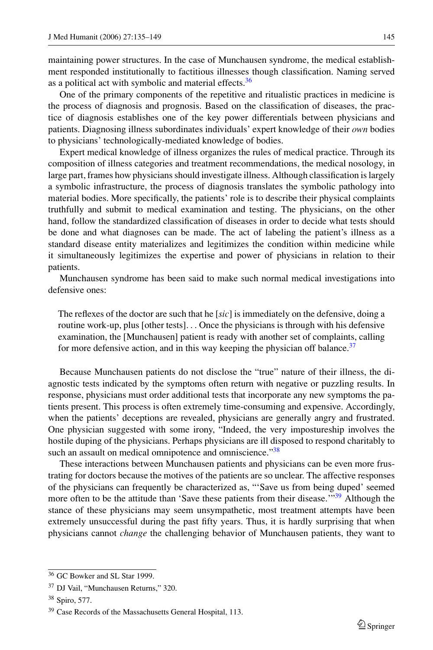maintaining power structures. In the case of Munchausen syndrome, the medical establishment responded institutionally to factitious illnesses though classification. Naming served as a political act with symbolic and material effects.<sup>[36](#page-10-0)</sup>

One of the primary components of the repetitive and ritualistic practices in medicine is the process of diagnosis and prognosis. Based on the classification of diseases, the practice of diagnosis establishes one of the key power differentials between physicians and patients. Diagnosing illness subordinates individuals' expert knowledge of their *own* bodies to physicians' technologically-mediated knowledge of bodies.

Expert medical knowledge of illness organizes the rules of medical practice. Through its composition of illness categories and treatment recommendations, the medical nosology, in large part, frames how physicians should investigate illness. Although classification is largely a symbolic infrastructure, the process of diagnosis translates the symbolic pathology into material bodies. More specifically, the patients' role is to describe their physical complaints truthfully and submit to medical examination and testing. The physicians, on the other hand, follow the standardized classification of diseases in order to decide what tests should be done and what diagnoses can be made. The act of labeling the patient's illness as a standard disease entity materializes and legitimizes the condition within medicine while it simultaneously legitimizes the expertise and power of physicians in relation to their patients.

Munchausen syndrome has been said to make such normal medical investigations into defensive ones:

The reflexes of the doctor are such that he [*sic*] is immediately on the defensive, doing a routine work-up, plus [other tests]... Once the physicians is through with his defensive examination, the [Munchausen] patient is ready with another set of complaints, calling for more defensive action, and in this way keeping the physician off balance.<sup>[37](#page-10-1)</sup>

Because Munchausen patients do not disclose the "true" nature of their illness, the diagnostic tests indicated by the symptoms often return with negative or puzzling results. In response, physicians must order additional tests that incorporate any new symptoms the patients present. This process is often extremely time-consuming and expensive. Accordingly, when the patients' deceptions are revealed, physicians are generally angry and frustrated. One physician suggested with some irony, "Indeed, the very impostureship involves the hostile duping of the physicians. Perhaps physicians are ill disposed to respond charitably to such an assault on medical omnipotence and omniscience."<sup>[38](#page-10-2)</sup>

These interactions between Munchausen patients and physicians can be even more frustrating for doctors because the motives of the patients are so unclear. The affective responses of the physicians can frequently be characterized as, "'Save us from being duped' seemed more often to be the attitude than 'Save these patients from their disease.'"<sup>39</sup> Although the stance of these physicians may seem unsympathetic, most treatment attempts have been extremely unsuccessful during the past fifty years. Thus, it is hardly surprising that when physicians cannot *change* the challenging behavior of Munchausen patients, they want to

<sup>36</sup> GC Bowker and SL Star 1999.

<span id="page-10-1"></span><span id="page-10-0"></span><sup>37</sup> DJ Vail, "Munchausen Returns," 320.

<sup>38</sup> Spiro, 577.

<span id="page-10-3"></span><span id="page-10-2"></span><sup>&</sup>lt;sup>39</sup> Case Records of the Massachusetts General Hospital, 113.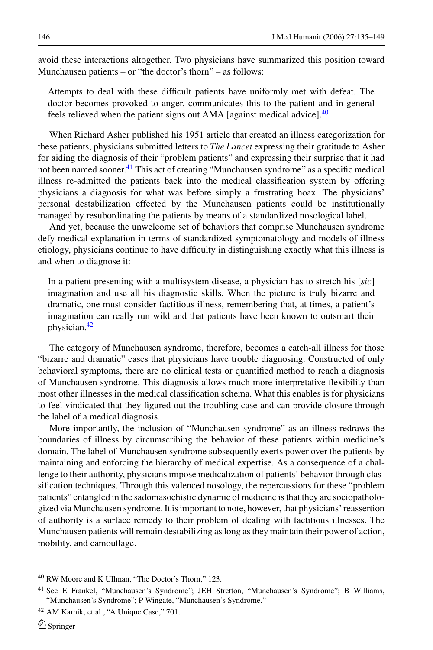avoid these interactions altogether. Two physicians have summarized this position toward Munchausen patients – or "the doctor's thorn" – as follows:

Attempts to deal with these difficult patients have uniformly met with defeat. The doctor becomes provoked to anger, communicates this to the patient and in general feels relieved when the patient signs out AMA [against medical advice].<sup>40</sup>

When Richard Asher published his 1951 article that created an illness categorization for these patients, physicians submitted letters to *The Lancet* expressing their gratitude to Asher for aiding the diagnosis of their "problem patients" and expressing their surprise that it had not been named sooner.<sup>[41](#page-11-1)</sup> This act of creating "Munchausen syndrome" as a specific medical illness re-admitted the patients back into the medical classification system by offering physicians a diagnosis for what was before simply a frustrating hoax. The physicians' personal destabilization effected by the Munchausen patients could be institutionally managed by resubordinating the patients by means of a standardized nosological label.

And yet, because the unwelcome set of behaviors that comprise Munchausen syndrome defy medical explanation in terms of standardized symptomatology and models of illness etiology, physicians continue to have difficulty in distinguishing exactly what this illness is and when to diagnose it:

In a patient presenting with a multisystem disease, a physician has to stretch his [*sic*] imagination and use all his diagnostic skills. When the picture is truly bizarre and dramatic, one must consider factitious illness, remembering that, at times, a patient's imagination can really run wild and that patients have been known to outsmart their physician[.42](#page-11-2)

The category of Munchausen syndrome, therefore, becomes a catch-all illness for those "bizarre and dramatic" cases that physicians have trouble diagnosing. Constructed of only behavioral symptoms, there are no clinical tests or quantified method to reach a diagnosis of Munchausen syndrome. This diagnosis allows much more interpretative flexibility than most other illnesses in the medical classification schema. What this enables is for physicians to feel vindicated that they figured out the troubling case and can provide closure through the label of a medical diagnosis.

More importantly, the inclusion of "Munchausen syndrome" as an illness redraws the boundaries of illness by circumscribing the behavior of these patients within medicine's domain. The label of Munchausen syndrome subsequently exerts power over the patients by maintaining and enforcing the hierarchy of medical expertise. As a consequence of a challenge to their authority, physicians impose medicalization of patients' behavior through classification techniques. Through this valenced nosology, the repercussions for these "problem patients" entangled in the sadomasochistic dynamic of medicine is that they are sociopathologized via Munchausen syndrome. It is important to note, however, that physicians' reassertion of authority is a surface remedy to their problem of dealing with factitious illnesses. The Munchausen patients will remain destabilizing as long as they maintain their power of action, mobility, and camouflage.

<sup>40</sup> RW Moore and K Ullman, "The Doctor's Thorn," 123.

<span id="page-11-1"></span><span id="page-11-0"></span><sup>41</sup> See E Frankel, "Munchausen's Syndrome"; JEH Stretton, "Munchausen's Syndrome"; B Williams, "Munchausen's Syndrome"; P Wingate, "Munchausen's Syndrome."

<span id="page-11-2"></span><sup>42</sup> AM Karnik, et al., "A Unique Case," 701.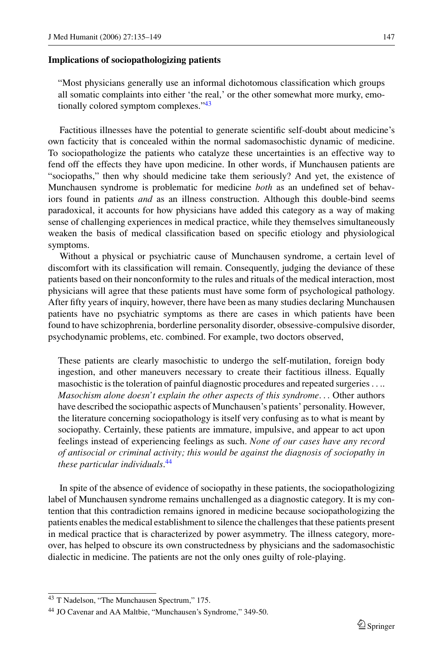#### **Implications of sociopathologizing patients**

"Most physicians generally use an informal dichotomous classification which groups all somatic complaints into either 'the real,' or the other somewhat more murky, emotionally colored symptom complexes."<sup>43</sup>

Factitious illnesses have the potential to generate scientific self-doubt about medicine's own facticity that is concealed within the normal sadomasochistic dynamic of medicine. To sociopathologize the patients who catalyze these uncertainties is an effective way to fend off the effects they have upon medicine. In other words, if Munchausen patients are "sociopaths," then why should medicine take them seriously? And yet, the existence of Munchausen syndrome is problematic for medicine *both* as an undefined set of behaviors found in patients *and* as an illness construction. Although this double-bind seems paradoxical, it accounts for how physicians have added this category as a way of making sense of challenging experiences in medical practice, while they themselves simultaneously weaken the basis of medical classification based on specific etiology and physiological symptoms.

Without a physical or psychiatric cause of Munchausen syndrome, a certain level of discomfort with its classification will remain. Consequently, judging the deviance of these patients based on their nonconformity to the rules and rituals of the medical interaction, most physicians will agree that these patients must have some form of psychological pathology. After fifty years of inquiry, however, there have been as many studies declaring Munchausen patients have no psychiatric symptoms as there are cases in which patients have been found to have schizophrenia, borderline personality disorder, obsessive-compulsive disorder, psychodynamic problems, etc. combined. For example, two doctors observed,

These patients are clearly masochistic to undergo the self-mutilation, foreign body ingestion, and other maneuvers necessary to create their factitious illness. Equally masochistic is the toleration of painful diagnostic procedures and repeated surgeries.... *Masochism alone doesn't explain the other aspects of this syndrome*... Other authors have described the sociopathic aspects of Munchausen's patients' personality. However, the literature concerning sociopathology is itself very confusing as to what is meant by sociopathy. Certainly, these patients are immature, impulsive, and appear to act upon feelings instead of experiencing feelings as such. *None of our cases have any record of antisocial or criminal activity; this would be against the diagnosis of sociopathy in these particular individuals*. [44](#page-12-1)

In spite of the absence of evidence of sociopathy in these patients, the sociopathologizing label of Munchausen syndrome remains unchallenged as a diagnostic category. It is my contention that this contradiction remains ignored in medicine because sociopathologizing the patients enables the medical establishment to silence the challenges that these patients present in medical practice that is characterized by power asymmetry. The illness category, moreover, has helped to obscure its own constructedness by physicians and the sadomasochistic dialectic in medicine. The patients are not the only ones guilty of role-playing.

<sup>43</sup> T Nadelson, "The Munchausen Spectrum," 175.

<span id="page-12-1"></span><span id="page-12-0"></span><sup>44</sup> JO Cavenar and AA Maltbie, "Munchausen's Syndrome," 349-50.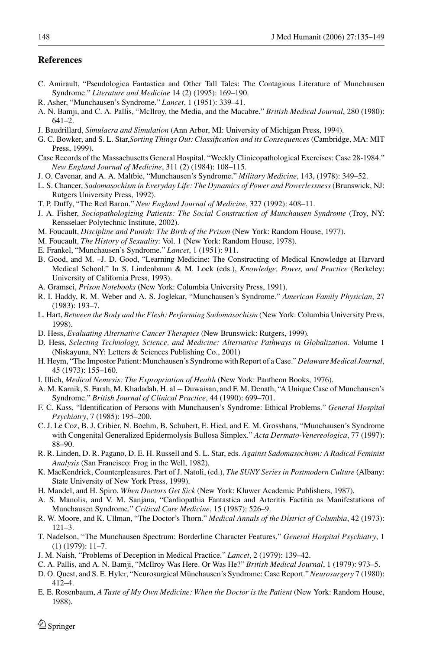#### **References**

- C. Amirault, "Pseudologica Fantastica and Other Tall Tales: The Contagious Literature of Munchausen Syndrome." *Literature and Medicine* 14 (2) (1995): 169–190.
- R. Asher, "Munchausen's Syndrome." *Lancet*, 1 (1951): 339–41.
- A. N. Bamji, and C. A. Pallis, "McIlroy, the Media, and the Macabre." *British Medical Journal*, 280 (1980): 641–2.
- J. Baudrillard, *Simulacra and Simulation* (Ann Arbor, MI: University of Michigan Press, 1994).
- G. C. Bowker, and S. L. Star,*Sorting Things Out: Classification and its Consequences* (Cambridge, MA: MIT Press, 1999).
- Case Records of the Massachusetts General Hospital. "Weekly Clinicopathological Exercises: Case 28-1984." *New England Journal of Medicine*, 311 (2) (1984): 108–115.
- J. O. Cavenar, and A. A. Maltbie, "Munchausen's Syndrome." *Military Medicine*, 143, (1978): 349–52.
- L. S. Chancer, *Sadomasochism in Everyday Life: The Dynamics of Power and Powerlessness* (Brunswick, NJ: Rutgers University Press, 1992).
- T. P. Duffy, "The Red Baron." *New England Journal of Medicine*, 327 (1992): 408–11.
- J. A. Fisher, *Sociopathologizing Patients: The Social Construction of Munchausen Syndrome* (Troy, NY: Rensselaer Polytechnic Institute, 2002).
- M. Foucault, *Discipline and Punish: The Birth of the Prison* (New York: Random House, 1977).
- M. Foucault, *The History of Sexuality*: Vol. 1 (New York: Random House, 1978).
- E. Frankel, "Munchausen's Syndrome." *Lancet*, 1 (1951): 911.
- B. Good, and M. –J. D. Good, "Learning Medicine: The Constructing of Medical Knowledge at Harvard Medical School." In S. Lindenbaum & M. Lock (eds.), *Knowledge, Power, and Practice* (Berkeley: University of California Press, 1993).
- A. Gramsci, *Prison Notebooks* (New York: Columbia University Press, 1991).
- R. I. Haddy, R. M. Weber and A. S. Joglekar, "Munchausen's Syndrome." *American Family Physician*, 27 (1983): 193–7.
- L. Hart, *Between the Body and the Flesh: Performing Sadomasochism* (New York: Columbia University Press, 1998).
- D. Hess, *Evaluating Alternative Cancer Therapies* (New Brunswick: Rutgers, 1999).
- D. Hess, *Selecting Technology, Science, and Medicine: Alternative Pathways in Globalization*. Volume 1 (Niskayuna, NY: Letters & Sciences Publishing Co., 2001)
- H. Heym, "The Impostor Patient: Munchausen's Syndrome with Report of a Case." *Delaware Medical Journal*, 45 (1973): 155–160.
- I. Illich, *Medical Nemesis: The Expropriation of Health* (New York: Pantheon Books, 1976).
- A. M. Karnik, S. Farah, M. Khadadah, H. al − Duwaisan, and F. M. Denath, "A Unique Case of Munchausen's Syndrome." *British Journal of Clinical Practice*, 44 (1990): 699–701.
- F. C. Kass, "Identification of Persons with Munchausen's Syndrome: Ethical Problems." *General Hospital Psychiatry*, 7 (1985): 195–200.
- C. J. Le Coz, B. J. Cribier, N. Boehm, B. Schubert, E. Hied, and E. M. Grosshans, "Munchausen's Syndrome with Congenital Generalized Epidermolysis Bullosa Simplex." *Acta Dermato-Venereologica*, 77 (1997): 88–90.
- R. R. Linden, D. R. Pagano, D. E. H. Russell and S. L. Star, eds. *Against Sadomasochism: A Radical Feminist Analysis* (San Francisco: Frog in the Well, 1982).
- K. MacKendrick, Counterpleasures. Part of J. Natoli, (ed.), *The SUNY Series in Postmodern Culture* (Albany: State University of New York Press, 1999).
- H. Mandel, and H. Spiro. *When Doctors Get Sick* (New York: Kluwer Academic Publishers, 1987).
- A. S. Manolis, and V. M. Sanjana, "Cardiopathia Fantastica and Arteritis Factitia as Manifestations of Munchausen Syndrome." *Critical Care Medicine*, 15 (1987): 526–9.
- R. W. Moore, and K. Ullman, "The Doctor's Thorn." *Medical Annals of the District of Columbia*, 42 (1973): 121–3.
- T. Nadelson, "The Munchausen Spectrum: Borderline Character Features." *General Hospital Psychiatry*, 1 (1) (1979): 11–7.
- J. M. Naish, "Problems of Deception in Medical Practice." *Lancet*, 2 (1979): 139–42.
- C. A. Pallis, and A. N. Bamji, "McIlroy Was Here. Or Was He?" *British Medical Journal*, 1 (1979): 973–5.
- D. O. Quest, and S. E. Hyler, "Neurosurgical Münchausen's Syndrome: Case Report." Neurosurgery 7 (1980): 412–4.
- E. E. Rosenbaum, *A Taste of My Own Medicine: When the Doctor is the Patient* (New York: Random House, 1988).

 $\mathcal{Q}$  Springer